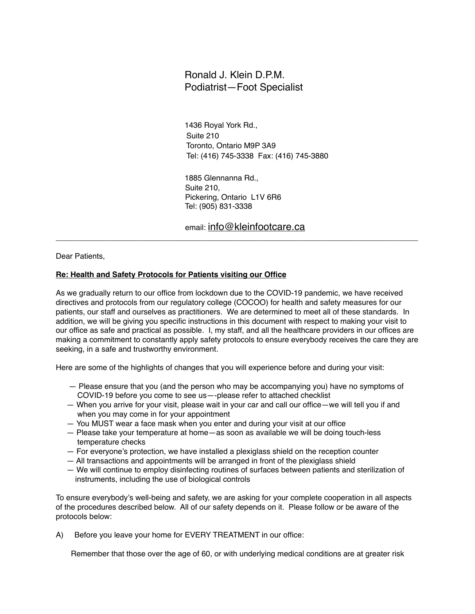## Ronald J. Klein D.P.M. Podiatrist—Foot Specialist

1436 Royal York Rd., Suite 210 Toronto, Ontario M9P 3A9 Tel: (416) 745-3338 Fax: (416) 745-3880

 1885 Glennanna Rd., Suite 210, Pickering, Ontario L1V 6R6 Tel: (905) 831-3338

email: [info@kleinfootcare.ca](mailto:info@kleinfootcare.ca)

\_\_\_\_\_\_\_\_\_\_\_\_\_\_\_\_\_\_\_\_\_\_\_\_\_\_\_\_\_\_\_\_\_\_\_\_\_\_\_\_\_\_\_\_\_\_\_\_\_\_\_\_\_\_\_\_\_\_\_\_\_\_\_\_\_\_\_\_\_\_\_\_\_\_\_\_\_\_\_\_\_\_\_\_

Dear Patients,

## **Re: Health and Safety Protocols for Patients visiting our Office**

As we gradually return to our office from lockdown due to the COVID-19 pandemic, we have received directives and protocols from our regulatory college (COCOO) for health and safety measures for our patients, our staff and ourselves as practitioners. We are determined to meet all of these standards. In addition, we will be giving you specific instructions in this document with respect to making your visit to our office as safe and practical as possible. I, my staff, and all the healthcare providers in our offices are making a commitment to constantly apply safety protocols to ensure everybody receives the care they are seeking, in a safe and trustworthy environment.

Here are some of the highlights of changes that you will experience before and during your visit:

- Please ensure that you (and the person who may be accompanying you) have no symptoms of COVID-19 before you come to see us—-please refer to attached checklist
- When you arrive for your visit, please wait in your car and call our office—we will tell you if and when you may come in for your appointment
- You MUST wear a face mask when you enter and during your visit at our office
- Please take your temperature at home—as soon as available we will be doing touch-less temperature checks
- For everyone's protection, we have installed a plexiglass shield on the reception counter
- All transactions and appointments will be arranged in front of the plexiglass shield
- We will continue to employ disinfecting routines of surfaces between patients and sterilization of instruments, including the use of biological controls

To ensure everybody's well-being and safety, we are asking for your complete cooperation in all aspects of the procedures described below. All of our safety depends on it. Please follow or be aware of the protocols below:

A) Before you leave your home for EVERY TREATMENT in our office:

Remember that those over the age of 60, or with underlying medical conditions are at greater risk